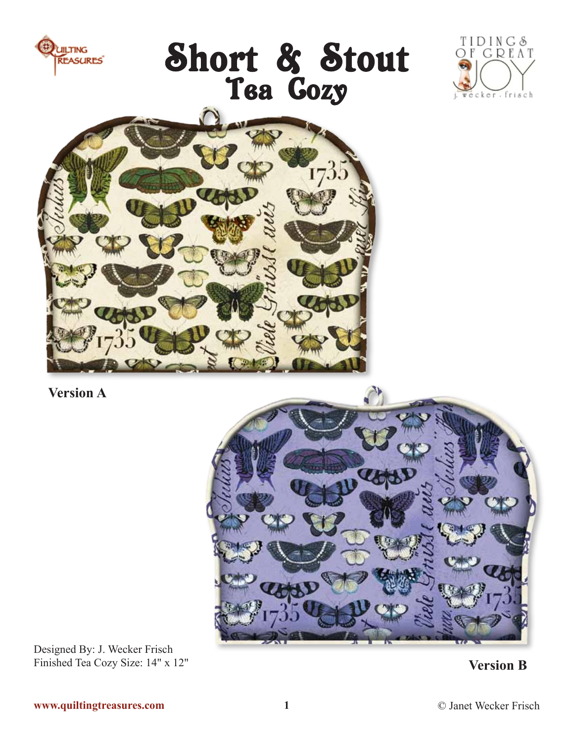

Designed By: J. Wecker Frisch Finished Tea Cozy Size: 14" x 12"

**Version B**